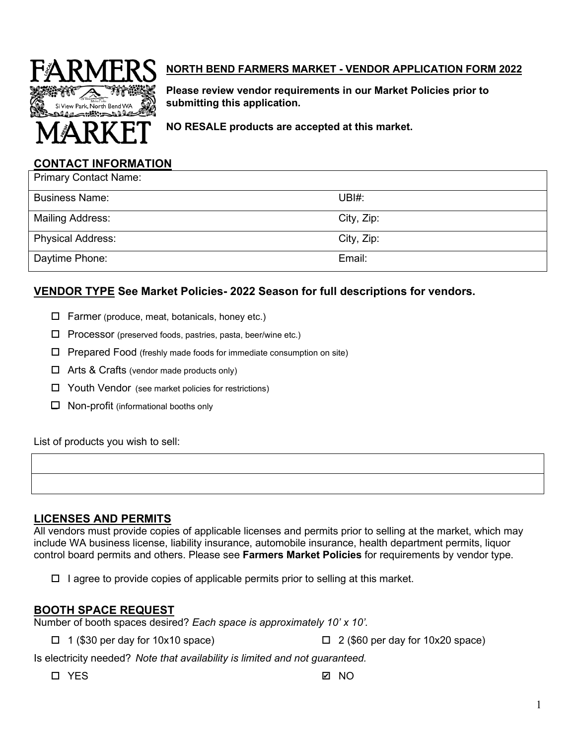

## **NORTH BEND FARMERS MARKET - VENDOR APPLICATION FORM 2022**

**Please review vendor requirements in our Market Policies prior to submitting this application.** 

**NO RESALE products are accepted at this market.**

#### **CONTACT INFORMATION**

| <b>Primary Contact Name:</b> |            |
|------------------------------|------------|
| <b>Business Name:</b>        | UBH:       |
| <b>Mailing Address:</b>      | City, Zip: |
| <b>Physical Address:</b>     | City, Zip: |
| Daytime Phone:               | Email:     |

#### **VENDOR TYPE See Market Policies- 2022 Season for full descriptions for vendors.**

- $\Box$  Farmer (produce, meat, botanicals, honey etc.)
- $\Box$  Processor (preserved foods, pastries, pasta, beer/wine etc.)
- $\Box$  Prepared Food (freshly made foods for immediate consumption on site)
- □ Arts & Crafts (vendor made products only)
- □ Youth Vendor (see market policies for restrictions)
- $\Box$  Non-profit (informational booths only

List of products you wish to sell:

#### **LICENSES AND PERMITS**

All vendors must provide copies of applicable licenses and permits prior to selling at the market, which may include WA business license, liability insurance, automobile insurance, health department permits, liquor control board permits and others. Please see **Farmers Market Policies** for requirements by vendor type.

 $\Box$  I agree to provide copies of applicable permits prior to selling at this market.

#### **BOOTH SPACE REQUEST**

Number of booth spaces desired? *Each space is approximately 10' x 10'.* 

 $\Box$  1 (\$30 per day for 10x10 space)  $\Box$  2 (\$60 per day for 10x20 space)

Is electricity needed? *Note that availability is limited and not guaranteed.*

YES

✔ NO